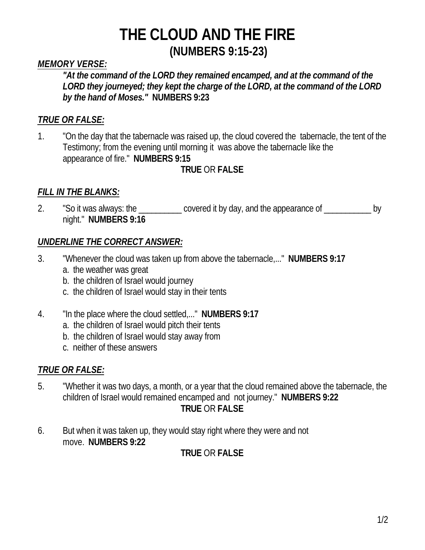## *MEMORY VERSE:*

*"At the command of the LORD they remained encamped, and at the command of the LORD they journeyed; they kept the charge of the LORD, at the command of the LORD by the hand of Moses."* **NUMBERS 9:23**

## *TRUE OR FALSE:*

1. "On the day that the tabernacle was raised up, the cloud covered the tabernacle, the tent of the Testimony; from the evening until morning it was above the tabernacle like the appearance of fire." **NUMBERS 9:15**

## **TRUE** OR **FALSE**

#### *FILL IN THE BLANKS:*

2. "So it was always: the \_\_\_\_\_\_\_\_\_ covered it by day, and the appearance of \_\_\_\_\_\_\_\_\_\_ by night." **NUMBERS 9:16**

#### *UNDERLINE THE CORRECT ANSWER:*

- 3. "Whenever the cloud was taken up from above the tabernacle,..." **NUMBERS 9:17**
	- a. the weather was great
	- b. the children of Israel would journey
	- c. the children of Israel would stay in their tents
- 4. "In the place where the cloud settled,..." **NUMBERS 9:17**
	- a. the children of Israel would pitch their tents
	- b. the children of Israel would stay away from
	- c. neither of these answers

## *TRUE OR FALSE:*

- 5. "Whether it was two days, a month, or a year that the cloud remained above the tabernacle, the children of Israel would remained encamped and not journey." **NUMBERS 9:22 TRUE** OR **FALSE**
- 6. But when it was taken up, they would stay right where they were and not move. **NUMBERS 9:22**

## **TRUE** OR **FALSE**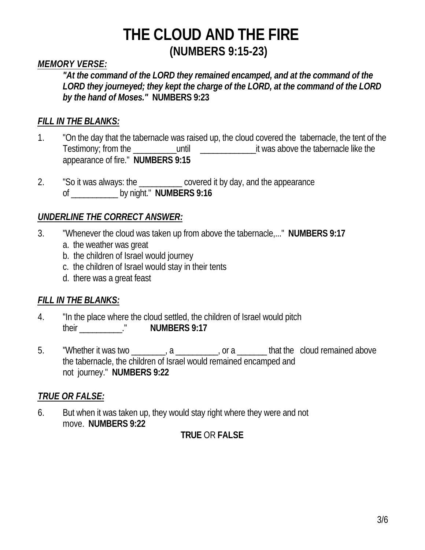#### *MEMORY VERSE:*

*"At the command of the LORD they remained encamped, and at the command of the LORD they journeyed; they kept the charge of the LORD, at the command of the LORD by the hand of Moses."* **NUMBERS 9:23**

#### *FILL IN THE BLANKS:*

- 1. "On the day that the tabernacle was raised up, the cloud covered the tabernacle, the tent of the Testimony; from the \_\_\_\_\_\_\_\_\_\_until \_\_\_\_\_\_\_\_\_\_\_\_\_it was above the tabernacle like the appearance of fire." **NUMBERS 9:15**
- 2. "So it was always: the \_\_\_\_\_\_\_\_\_\_ covered it by day, and the appearance of \_\_\_\_\_\_\_\_\_\_\_ by night." **NUMBERS 9:16**

#### *UNDERLINE THE CORRECT ANSWER:*

- 3. "Whenever the cloud was taken up from above the tabernacle,..." **NUMBERS 9:17**
	- a. the weather was great
	- b. the children of Israel would journey
	- c. the children of Israel would stay in their tents
	- d. there was a great feast

## *FILL IN THE BLANKS:*

- 4. "In the place where the cloud settled, the children of Israel would pitch their \_\_\_\_\_\_\_\_\_\_." **NUMBERS 9:17**
- 5. Whether it was two \_\_\_\_\_\_\_, a \_\_\_\_\_\_, or a \_\_\_\_\_\_ that the cloud remained above the tabernacle, the children of Israel would remained encamped and not journey." **NUMBERS 9:22**

## *TRUE OR FALSE:*

6. But when it was taken up, they would stay right where they were and not move. **NUMBERS 9:22**

## **TRUE** OR **FALSE**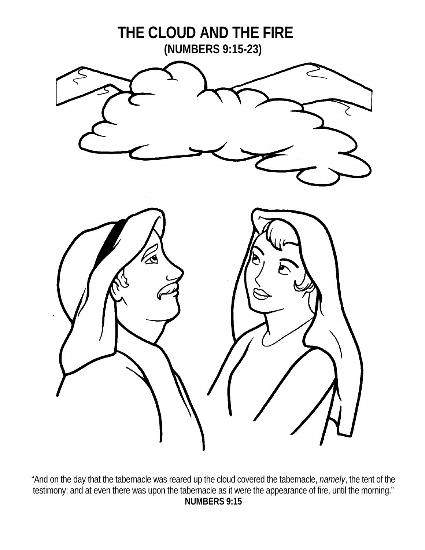

"And on the day that the tabernacle was reared up the cloud covered the tabernacle, *namely*, the tent of the testimony: and at even there was upon the tabernacle as it were the appearance of fire, until the morning." **NUMBERS 9:15**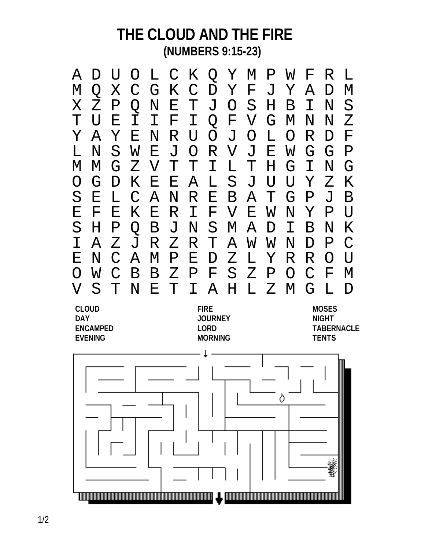

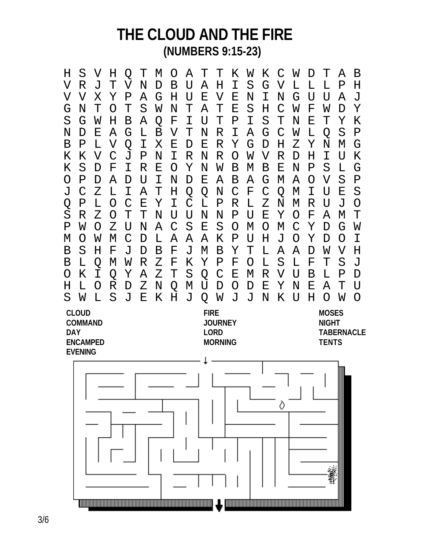H S V H Q T M O A T T K W K C W D T A B V R J T V N D B U A H I S G V L L L P H V V X Y P A G H U E V E N I N G U U A J G N T O T S W N T A T E S H C W F W D Y S G W H B A Q F I U T P I S T N E T Y K N D E A G L B V T N R I A G C W L Q S P B P L V Q I X E D E R Y G D H Z Y N M G K K V C J P N I R N R O W V R D H I U K K S D F I R E O Y N W B M B E N P S L G O P D A D U I N D E A B A G M A O V S P J C Z L I A T H Q Q N C F C Q M I U E S Q P L O C E Y I C L P R L Z N M R U J O S R Z O T T N U U N N P U E Y O F A M T P W O Z U N A C S E S O M O M C Y D G W M O W M C D L A A A K P U H J O Y D O I B S H F J D B F J M B Y T L A A D W V H B L Q M W R Z F K Y P F O L S L F T S J O K I Q Y A Z T S Q C E M R V U B L P D H L O R D Z N Q M U D O D E Y N E A T U S W L S J E K H J Q W J J N K U H O W O **CLOUD FIRE MOSES COMMAND JOURNEY NIGHT DAY LORD TABERNACLE ENCAMPED MORNING TENTS EVENING**Ò